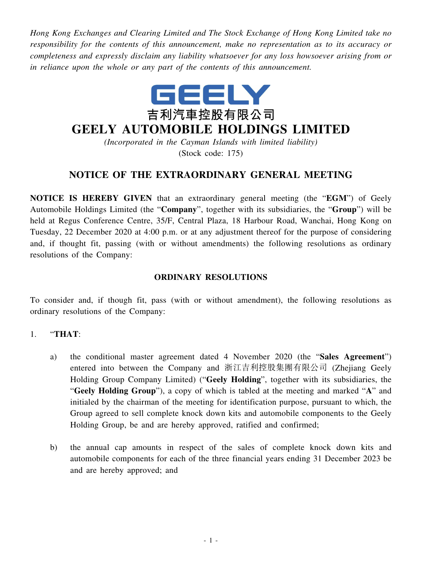*Hong Kong Exchanges and Clearing Limited and The Stock Exchange of Hong Kong Limited take no responsibility for the contents of this announcement, make no representation as to its accuracy or completeness and expressly disclaim any liability whatsoever for any loss howsoever arising from or in reliance upon the whole or any part of the contents of this announcement.*



# **GEELY AUTOMOBILE HOLDINGS LIMITED**

*(Incorporated in the Cayman Islands with limited liability)* (Stock code: 175)

## **NOTICE OF THE EXTRAORDINARY GENERAL MEETING**

**NOTICE IS HEREBY GIVEN** that an extraordinary general meeting (the "**EGM**") of Geely Automobile Holdings Limited (the "**Company**", together with its subsidiaries, the "**Group**") will be held at Regus Conference Centre, 35/F, Central Plaza, 18 Harbour Road, Wanchai, Hong Kong on Tuesday, 22 December 2020 at 4:00 p.m. or at any adjustment thereof for the purpose of considering and, if thought fit, passing (with or without amendments) the following resolutions as ordinary resolutions of the Company:

#### **ORDINARY RESOLUTIONS**

To consider and, if though fit, pass (with or without amendment), the following resolutions as ordinary resolutions of the Company:

#### 1. "**THAT**:

- a) the conditional master agreement dated 4 November 2020 (the "**Sales Agreement**") entered into between the Company and 浙江吉利控股集團有限公司 (Zhejiang Geely Holding Group Company Limited) ("**Geely Holding**", together with its subsidiaries, the "**Geely Holding Group**"), a copy of which is tabled at the meeting and marked "**A**" and initialed by the chairman of the meeting for identification purpose, pursuant to which, the Group agreed to sell complete knock down kits and automobile components to the Geely Holding Group, be and are hereby approved, ratified and confirmed;
- b) the annual cap amounts in respect of the sales of complete knock down kits and automobile components for each of the three financial years ending 31 December 2023 be and are hereby approved; and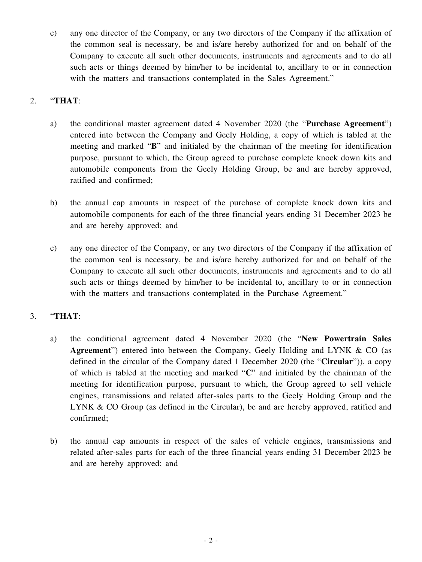c) any one director of the Company, or any two directors of the Company if the affixation of the common seal is necessary, be and is/are hereby authorized for and on behalf of the Company to execute all such other documents, instruments and agreements and to do all such acts or things deemed by him/her to be incidental to, ancillary to or in connection with the matters and transactions contemplated in the Sales Agreement."

#### 2. "**THAT**:

- a) the conditional master agreement dated 4 November 2020 (the "**Purchase Agreement**") entered into between the Company and Geely Holding, a copy of which is tabled at the meeting and marked "**B**" and initialed by the chairman of the meeting for identification purpose, pursuant to which, the Group agreed to purchase complete knock down kits and automobile components from the Geely Holding Group, be and are hereby approved, ratified and confirmed;
- b) the annual cap amounts in respect of the purchase of complete knock down kits and automobile components for each of the three financial years ending 31 December 2023 be and are hereby approved; and
- c) any one director of the Company, or any two directors of the Company if the affixation of the common seal is necessary, be and is/are hereby authorized for and on behalf of the Company to execute all such other documents, instruments and agreements and to do all such acts or things deemed by him/her to be incidental to, ancillary to or in connection with the matters and transactions contemplated in the Purchase Agreement."

## 3. "**THAT**:

- a) the conditional agreement dated 4 November 2020 (the "**New Powertrain Sales Agreement**") entered into between the Company, Geely Holding and LYNK & CO (as defined in the circular of the Company dated 1 December 2020 (the "**Circular**")), a copy of which is tabled at the meeting and marked "**C**" and initialed by the chairman of the meeting for identification purpose, pursuant to which, the Group agreed to sell vehicle engines, transmissions and related after-sales parts to the Geely Holding Group and the LYNK & CO Group (as defined in the Circular), be and are hereby approved, ratified and confirmed;
- b) the annual cap amounts in respect of the sales of vehicle engines, transmissions and related after-sales parts for each of the three financial years ending 31 December 2023 be and are hereby approved; and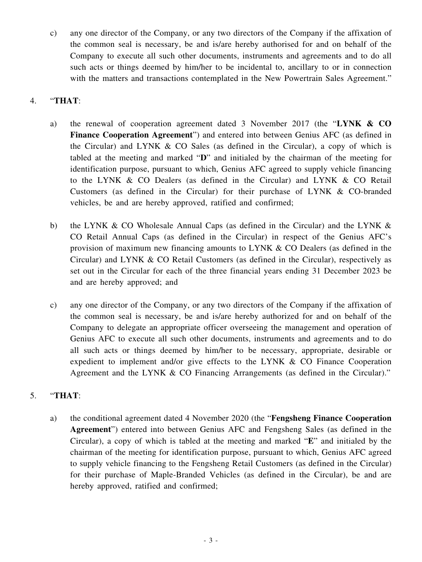c) any one director of the Company, or any two directors of the Company if the affixation of the common seal is necessary, be and is/are hereby authorised for and on behalf of the Company to execute all such other documents, instruments and agreements and to do all such acts or things deemed by him/her to be incidental to, ancillary to or in connection with the matters and transactions contemplated in the New Powertrain Sales Agreement."

#### 4. "**THAT**:

- a) the renewal of cooperation agreement dated 3 November 2017 (the "**LYNK & CO Finance Cooperation Agreement**") and entered into between Genius AFC (as defined in the Circular) and LYNK & CO Sales (as defined in the Circular), a copy of which is tabled at the meeting and marked "**D**" and initialed by the chairman of the meeting for identification purpose, pursuant to which, Genius AFC agreed to supply vehicle financing to the LYNK & CO Dealers (as defined in the Circular) and LYNK & CO Retail Customers (as defined in the Circular) for their purchase of LYNK & CO-branded vehicles, be and are hereby approved, ratified and confirmed;
- b) the LYNK & CO Wholesale Annual Caps (as defined in the Circular) and the LYNK & CO Retail Annual Caps (as defined in the Circular) in respect of the Genius AFC's provision of maximum new financing amounts to LYNK & CO Dealers (as defined in the Circular) and LYNK & CO Retail Customers (as defined in the Circular), respectively as set out in the Circular for each of the three financial years ending 31 December 2023 be and are hereby approved; and
- c) any one director of the Company, or any two directors of the Company if the affixation of the common seal is necessary, be and is/are hereby authorized for and on behalf of the Company to delegate an appropriate officer overseeing the management and operation of Genius AFC to execute all such other documents, instruments and agreements and to do all such acts or things deemed by him/her to be necessary, appropriate, desirable or expedient to implement and/or give effects to the LYNK & CO Finance Cooperation Agreement and the LYNK & CO Financing Arrangements (as defined in the Circular)."

## 5. "**THAT**:

a) the conditional agreement dated 4 November 2020 (the "**Fengsheng Finance Cooperation Agreement**") entered into between Genius AFC and Fengsheng Sales (as defined in the Circular), a copy of which is tabled at the meeting and marked "**E**" and initialed by the chairman of the meeting for identification purpose, pursuant to which, Genius AFC agreed to supply vehicle financing to the Fengsheng Retail Customers (as defined in the Circular) for their purchase of Maple-Branded Vehicles (as defined in the Circular), be and are hereby approved, ratified and confirmed;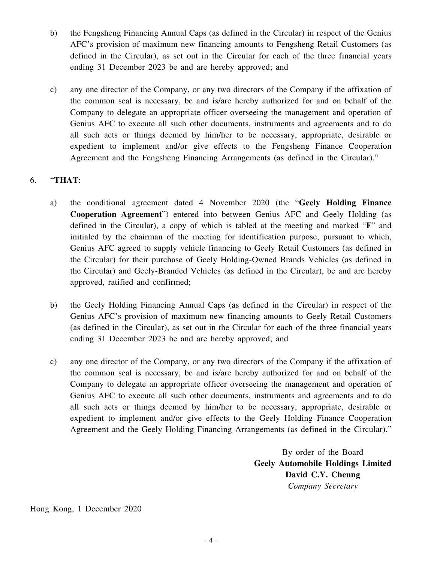- b) the Fengsheng Financing Annual Caps (as defined in the Circular) in respect of the Genius AFC's provision of maximum new financing amounts to Fengsheng Retail Customers (as defined in the Circular), as set out in the Circular for each of the three financial years ending 31 December 2023 be and are hereby approved; and
- c) any one director of the Company, or any two directors of the Company if the affixation of the common seal is necessary, be and is/are hereby authorized for and on behalf of the Company to delegate an appropriate officer overseeing the management and operation of Genius AFC to execute all such other documents, instruments and agreements and to do all such acts or things deemed by him/her to be necessary, appropriate, desirable or expedient to implement and/or give effects to the Fengsheng Finance Cooperation Agreement and the Fengsheng Financing Arrangements (as defined in the Circular)."

## 6. "**THAT**:

- a) the conditional agreement dated 4 November 2020 (the "**Geely Holding Finance Cooperation Agreement**") entered into between Genius AFC and Geely Holding (as defined in the Circular), a copy of which is tabled at the meeting and marked "**F**" and initialed by the chairman of the meeting for identification purpose, pursuant to which, Genius AFC agreed to supply vehicle financing to Geely Retail Customers (as defined in the Circular) for their purchase of Geely Holding-Owned Brands Vehicles (as defined in the Circular) and Geely-Branded Vehicles (as defined in the Circular), be and are hereby approved, ratified and confirmed;
- b) the Geely Holding Financing Annual Caps (as defined in the Circular) in respect of the Genius AFC's provision of maximum new financing amounts to Geely Retail Customers (as defined in the Circular), as set out in the Circular for each of the three financial years ending 31 December 2023 be and are hereby approved; and
- c) any one director of the Company, or any two directors of the Company if the affixation of the common seal is necessary, be and is/are hereby authorized for and on behalf of the Company to delegate an appropriate officer overseeing the management and operation of Genius AFC to execute all such other documents, instruments and agreements and to do all such acts or things deemed by him/her to be necessary, appropriate, desirable or expedient to implement and/or give effects to the Geely Holding Finance Cooperation Agreement and the Geely Holding Financing Arrangements (as defined in the Circular)."

By order of the Board **Geely Automobile Holdings Limited David C.Y. Cheung** *Company Secretary*

Hong Kong, 1 December 2020